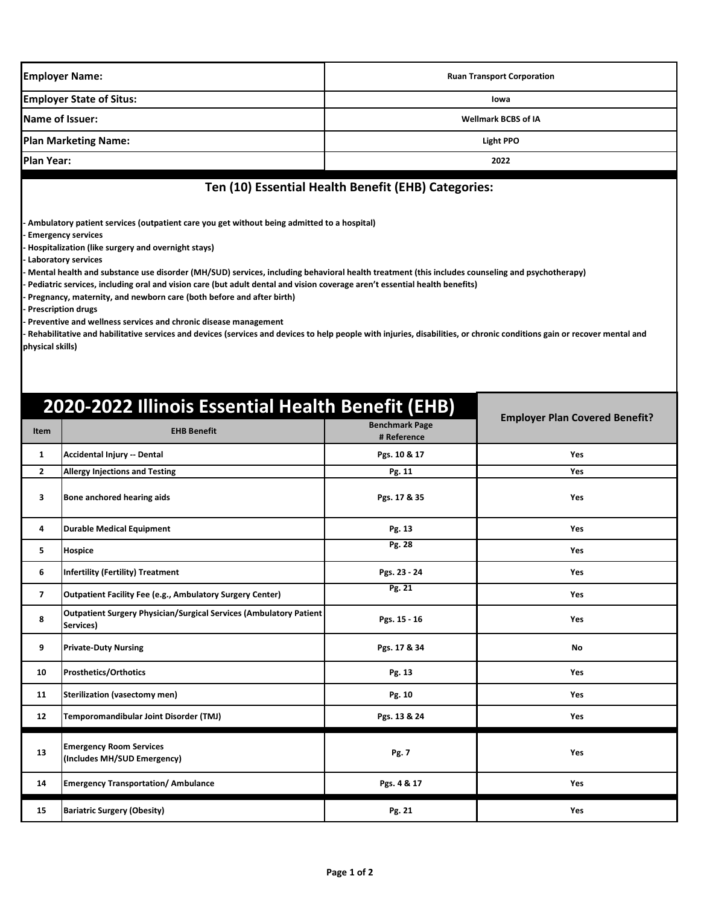| <b>Employer Name:</b>                                                                                                                                                                                                                                                                                                                                                                                                                                                                                                                                                                                                                                                                                                                                         |                                                                                 | <b>Ruan Transport Corporation</b>                   |                                       |  |
|---------------------------------------------------------------------------------------------------------------------------------------------------------------------------------------------------------------------------------------------------------------------------------------------------------------------------------------------------------------------------------------------------------------------------------------------------------------------------------------------------------------------------------------------------------------------------------------------------------------------------------------------------------------------------------------------------------------------------------------------------------------|---------------------------------------------------------------------------------|-----------------------------------------------------|---------------------------------------|--|
| <b>Employer State of Situs:</b>                                                                                                                                                                                                                                                                                                                                                                                                                                                                                                                                                                                                                                                                                                                               |                                                                                 | lowa                                                |                                       |  |
|                                                                                                                                                                                                                                                                                                                                                                                                                                                                                                                                                                                                                                                                                                                                                               | Name of Issuer:                                                                 | <b>Wellmark BCBS of IA</b>                          |                                       |  |
| <b>Plan Marketing Name:</b>                                                                                                                                                                                                                                                                                                                                                                                                                                                                                                                                                                                                                                                                                                                                   |                                                                                 |                                                     | <b>Light PPO</b>                      |  |
| <b>Plan Year:</b>                                                                                                                                                                                                                                                                                                                                                                                                                                                                                                                                                                                                                                                                                                                                             |                                                                                 |                                                     | 2022                                  |  |
|                                                                                                                                                                                                                                                                                                                                                                                                                                                                                                                                                                                                                                                                                                                                                               |                                                                                 | Ten (10) Essential Health Benefit (EHB) Categories: |                                       |  |
| <b>Emergency services</b><br>Hospitalization (like surgery and overnight stays)<br>Laboratory services<br>Mental health and substance use disorder (MH/SUD) services, including behavioral health treatment (this includes counseling and psychotherapy)<br>Pediatric services, including oral and vision care (but adult dental and vision coverage aren't essential health benefits)<br>Pregnancy, maternity, and newborn care (both before and after birth)<br><b>Prescription drugs</b><br>Preventive and wellness services and chronic disease management<br>Rehabilitative and habilitative services and devices (services and devices to help people with injuries, disabilities, or chronic conditions gain or recover mental and<br>physical skills) |                                                                                 |                                                     |                                       |  |
| Item                                                                                                                                                                                                                                                                                                                                                                                                                                                                                                                                                                                                                                                                                                                                                          | 2020-2022 Illinois Essential Health Benefit (EHB)<br><b>EHB Benefit</b>         | <b>Benchmark Page</b><br># Reference                | <b>Employer Plan Covered Benefit?</b> |  |
| $\mathbf{1}$                                                                                                                                                                                                                                                                                                                                                                                                                                                                                                                                                                                                                                                                                                                                                  | Accidental Injury -- Dental                                                     | Pgs. 10 & 17                                        | <b>Yes</b>                            |  |
| $\mathbf{2}$                                                                                                                                                                                                                                                                                                                                                                                                                                                                                                                                                                                                                                                                                                                                                  | <b>Allergy Injections and Testing</b>                                           | Pg. 11                                              | Yes                                   |  |
| 3                                                                                                                                                                                                                                                                                                                                                                                                                                                                                                                                                                                                                                                                                                                                                             | Bone anchored hearing aids                                                      | Pgs. 17 & 35                                        | Yes                                   |  |
| 4                                                                                                                                                                                                                                                                                                                                                                                                                                                                                                                                                                                                                                                                                                                                                             | <b>Durable Medical Equipment</b>                                                | Pg. 13                                              | Yes                                   |  |
| 5                                                                                                                                                                                                                                                                                                                                                                                                                                                                                                                                                                                                                                                                                                                                                             | <b>Hospice</b>                                                                  | Pg. 28                                              | Yes                                   |  |
| 6                                                                                                                                                                                                                                                                                                                                                                                                                                                                                                                                                                                                                                                                                                                                                             | <b>Infertility (Fertility) Treatment</b>                                        | Pgs. 23 - 24                                        | Yes                                   |  |
| $\overline{7}$                                                                                                                                                                                                                                                                                                                                                                                                                                                                                                                                                                                                                                                                                                                                                | Outpatient Facility Fee (e.g., Ambulatory Surgery Center)                       | Pg. 21                                              | Yes                                   |  |
| 8                                                                                                                                                                                                                                                                                                                                                                                                                                                                                                                                                                                                                                                                                                                                                             | Outpatient Surgery Physician/Surgical Services (Ambulatory Patient<br>Services) | Pgs. 15 - 16                                        | Yes                                   |  |
| 9                                                                                                                                                                                                                                                                                                                                                                                                                                                                                                                                                                                                                                                                                                                                                             | <b>Private-Duty Nursing</b>                                                     | Pgs. 17 & 34                                        | No                                    |  |
| 10                                                                                                                                                                                                                                                                                                                                                                                                                                                                                                                                                                                                                                                                                                                                                            | <b>Prosthetics/Orthotics</b>                                                    | Pg. 13                                              | Yes                                   |  |
| 11                                                                                                                                                                                                                                                                                                                                                                                                                                                                                                                                                                                                                                                                                                                                                            | <b>Sterilization (vasectomy men)</b>                                            | Pg. 10                                              | Yes                                   |  |

12 Temporomandibular Joint Disorder (TMJ) **Pgs. 13 & 24** Pgs. 13 & 24

**14 Emergency Transportation/ Ambulance 12 Constrained Research Pgs. 4 & 17 Yes** 

**15 Bariatric Surgery (Obesity)** Pg. 21 Pg. 21 Yes

**(Includes MH/SUD Emergency) Pg. 7 Yes**

**13 Emergency Room Services**<br> **13 Linghards MULISHD Emerges**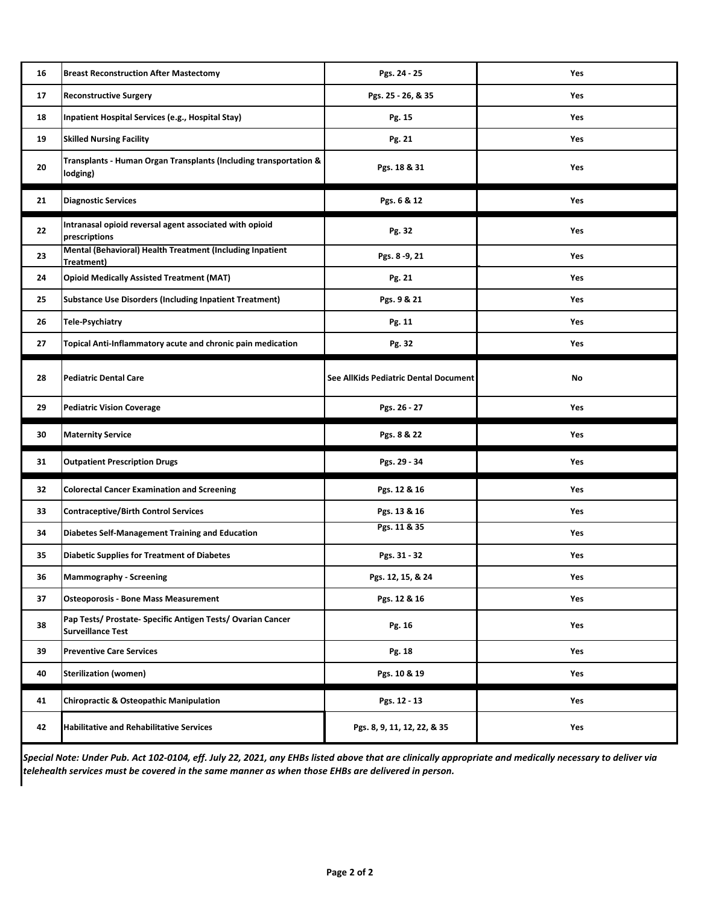| 16 | <b>Breast Reconstruction After Mastectomy</b>                                           | Pgs. 24 - 25                          | Yes |
|----|-----------------------------------------------------------------------------------------|---------------------------------------|-----|
| 17 | <b>Reconstructive Surgery</b>                                                           | Pgs. 25 - 26, & 35                    | Yes |
| 18 | Inpatient Hospital Services (e.g., Hospital Stay)                                       | Pg. 15                                | Yes |
| 19 | <b>Skilled Nursing Facility</b>                                                         | Pg. 21                                | Yes |
| 20 | Transplants - Human Organ Transplants (Including transportation &<br>lodging)           | Pgs. 18 & 31                          | Yes |
| 21 | <b>Diagnostic Services</b>                                                              | Pgs. 6 & 12                           | Yes |
| 22 | Intranasal opioid reversal agent associated with opioid<br>prescriptions                | Pg. 32                                | Yes |
| 23 | Mental (Behavioral) Health Treatment (Including Inpatient<br>Treatment)                 | Pgs. 8 - 9, 21                        | Yes |
| 24 | <b>Opioid Medically Assisted Treatment (MAT)</b>                                        | Pg. 21                                | Yes |
| 25 | <b>Substance Use Disorders (Including Inpatient Treatment)</b>                          | Pgs. 9 & 21                           | Yes |
| 26 | <b>Tele-Psychiatry</b>                                                                  | Pg. 11                                | Yes |
| 27 | Topical Anti-Inflammatory acute and chronic pain medication                             | Pg. 32                                | Yes |
| 28 | <b>Pediatric Dental Care</b>                                                            | See AllKids Pediatric Dental Document | No  |
| 29 | <b>Pediatric Vision Coverage</b>                                                        | Pgs. 26 - 27                          | Yes |
| 30 | <b>Maternity Service</b>                                                                | Pgs. 8 & 22                           | Yes |
| 31 | <b>Outpatient Prescription Drugs</b>                                                    | Pgs. 29 - 34                          | Yes |
| 32 | <b>Colorectal Cancer Examination and Screening</b>                                      | Pgs. 12 & 16                          | Yes |
| 33 | <b>Contraceptive/Birth Control Services</b>                                             | Pgs. 13 & 16                          | Yes |
| 34 | Diabetes Self-Management Training and Education                                         | Pgs. 11 & 35                          | Yes |
| 35 | <b>Diabetic Supplies for Treatment of Diabetes</b>                                      | Pgs. 31 - 32                          | Yes |
| 36 | <b>Mammography - Screening</b>                                                          | Pgs. 12, 15, & 24                     | Yes |
| 37 | <b>Osteoporosis - Bone Mass Measurement</b>                                             | Pgs. 12 & 16                          | Yes |
| 38 | Pap Tests/ Prostate- Specific Antigen Tests/ Ovarian Cancer<br><b>Surveillance Test</b> | Pg. 16                                | Yes |
| 39 | <b>Preventive Care Services</b>                                                         | Pg. 18                                | Yes |
| 40 | <b>Sterilization (women)</b>                                                            | Pgs. 10 & 19                          | Yes |
| 41 | <b>Chiropractic &amp; Osteopathic Manipulation</b>                                      | Pgs. 12 - 13                          | Yes |
| 42 | <b>Habilitative and Rehabilitative Services</b>                                         | Pgs. 8, 9, 11, 12, 22, & 35           | Yes |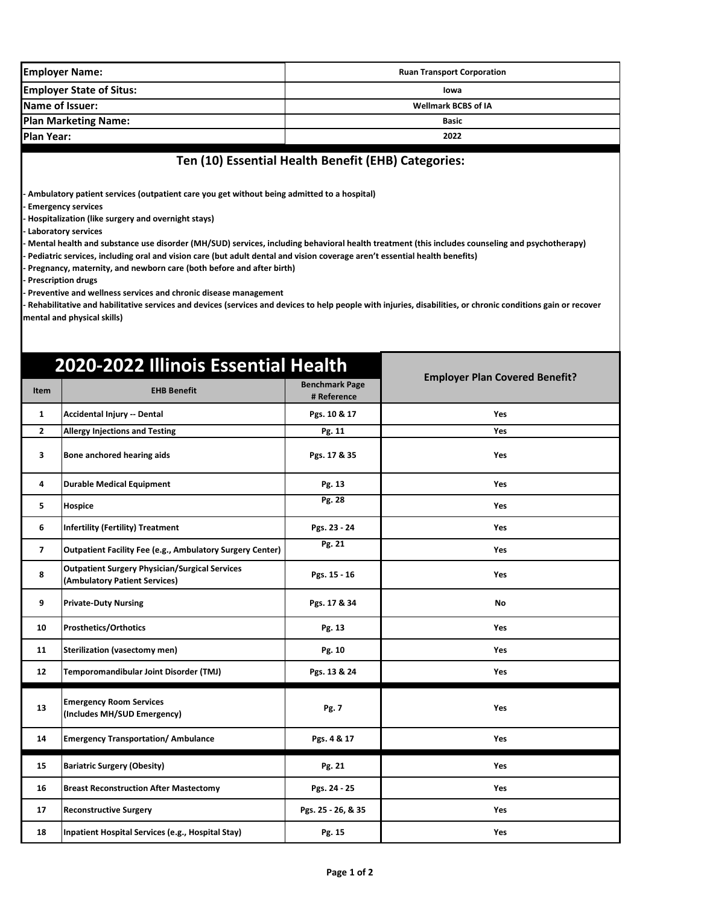| <b>Employer Name:</b>                                                                                                                                                                                                                                                                                                                                                                                                                                                                                                                                                                                                                                                      |                                                                                                                                                                                                                                      | <b>Ruan Transport Corporation</b>    |                                       |  |  |  |
|----------------------------------------------------------------------------------------------------------------------------------------------------------------------------------------------------------------------------------------------------------------------------------------------------------------------------------------------------------------------------------------------------------------------------------------------------------------------------------------------------------------------------------------------------------------------------------------------------------------------------------------------------------------------------|--------------------------------------------------------------------------------------------------------------------------------------------------------------------------------------------------------------------------------------|--------------------------------------|---------------------------------------|--|--|--|
| <b>Employer State of Situs:</b>                                                                                                                                                                                                                                                                                                                                                                                                                                                                                                                                                                                                                                            |                                                                                                                                                                                                                                      | lowa                                 |                                       |  |  |  |
| Name of Issuer:                                                                                                                                                                                                                                                                                                                                                                                                                                                                                                                                                                                                                                                            |                                                                                                                                                                                                                                      | <b>Wellmark BCBS of IA</b>           |                                       |  |  |  |
|                                                                                                                                                                                                                                                                                                                                                                                                                                                                                                                                                                                                                                                                            | <b>Plan Marketing Name:</b>                                                                                                                                                                                                          | <b>Basic</b>                         |                                       |  |  |  |
| <b>Plan Year:</b>                                                                                                                                                                                                                                                                                                                                                                                                                                                                                                                                                                                                                                                          |                                                                                                                                                                                                                                      |                                      | 2022                                  |  |  |  |
|                                                                                                                                                                                                                                                                                                                                                                                                                                                                                                                                                                                                                                                                            | Ten (10) Essential Health Benefit (EHB) Categories:<br>Ambulatory patient services (outpatient care you get without being admitted to a hospital)<br><b>Emergency services</b><br>Hospitalization (like surgery and overnight stays) |                                      |                                       |  |  |  |
| Laboratory services<br>Mental health and substance use disorder (MH/SUD) services, including behavioral health treatment (this includes counseling and psychotherapy)<br>Pediatric services, including oral and vision care (but adult dental and vision coverage aren't essential health benefits)<br>Pregnancy, maternity, and newborn care (both before and after birth)<br><b>Prescription drugs</b><br>Preventive and wellness services and chronic disease management<br>Rehabilitative and habilitative services and devices (services and devices to help people with injuries, disabilities, or chronic conditions gain or recover<br>mental and physical skills) |                                                                                                                                                                                                                                      |                                      |                                       |  |  |  |
| <b>Item</b>                                                                                                                                                                                                                                                                                                                                                                                                                                                                                                                                                                                                                                                                | 2020-2022 Illinois Essential Health<br><b>EHB Benefit</b>                                                                                                                                                                            | <b>Benchmark Page</b><br># Reference | <b>Employer Plan Covered Benefit?</b> |  |  |  |
| 1                                                                                                                                                                                                                                                                                                                                                                                                                                                                                                                                                                                                                                                                          | Accidental Injury -- Dental                                                                                                                                                                                                          | Pgs. 10 & 17                         | Yes                                   |  |  |  |
| $\overline{2}$                                                                                                                                                                                                                                                                                                                                                                                                                                                                                                                                                                                                                                                             | <b>Allergy Injections and Testing</b>                                                                                                                                                                                                | Pg. 11                               | Yes                                   |  |  |  |
| 3                                                                                                                                                                                                                                                                                                                                                                                                                                                                                                                                                                                                                                                                          | Bone anchored hearing aids                                                                                                                                                                                                           | Pgs. 17 & 35                         | Yes                                   |  |  |  |
| 4                                                                                                                                                                                                                                                                                                                                                                                                                                                                                                                                                                                                                                                                          | <b>Durable Medical Equipment</b>                                                                                                                                                                                                     | Pg. 13                               | Yes                                   |  |  |  |
| 5                                                                                                                                                                                                                                                                                                                                                                                                                                                                                                                                                                                                                                                                          | <b>Hospice</b>                                                                                                                                                                                                                       | Pg. 28                               | Yes                                   |  |  |  |
| 6                                                                                                                                                                                                                                                                                                                                                                                                                                                                                                                                                                                                                                                                          | <b>Infertility (Fertility) Treatment</b>                                                                                                                                                                                             | Pgs. 23 - 24                         | Yes                                   |  |  |  |
| 7                                                                                                                                                                                                                                                                                                                                                                                                                                                                                                                                                                                                                                                                          | <b>Outpatient Facility Fee (e.g., Ambulatory Surgery Center)</b>                                                                                                                                                                     | Pg. 21                               | Yes                                   |  |  |  |
| 8                                                                                                                                                                                                                                                                                                                                                                                                                                                                                                                                                                                                                                                                          | <b>Outpatient Surgery Physician/Surgical Services</b><br>(Ambulatory Patient Services)                                                                                                                                               | Pgs. 15 - 16                         | Yes                                   |  |  |  |
| 9                                                                                                                                                                                                                                                                                                                                                                                                                                                                                                                                                                                                                                                                          | <b>Private-Duty Nursing</b>                                                                                                                                                                                                          | Pgs. 17 & 34                         | No                                    |  |  |  |
| 10                                                                                                                                                                                                                                                                                                                                                                                                                                                                                                                                                                                                                                                                         | <b>Prosthetics/Orthotics</b>                                                                                                                                                                                                         | Pg. 13                               | Yes                                   |  |  |  |
| 11                                                                                                                                                                                                                                                                                                                                                                                                                                                                                                                                                                                                                                                                         | <b>Sterilization (vasectomy men)</b>                                                                                                                                                                                                 | Pg. 10                               | Yes                                   |  |  |  |
| 12                                                                                                                                                                                                                                                                                                                                                                                                                                                                                                                                                                                                                                                                         | Temporomandibular Joint Disorder (TMJ)                                                                                                                                                                                               | Pgs. 13 & 24                         | Yes                                   |  |  |  |
| 13                                                                                                                                                                                                                                                                                                                                                                                                                                                                                                                                                                                                                                                                         | <b>Emergency Room Services</b><br>(Includes MH/SUD Emergency)                                                                                                                                                                        | Pg. 7                                | Yes                                   |  |  |  |
| 14                                                                                                                                                                                                                                                                                                                                                                                                                                                                                                                                                                                                                                                                         | <b>Emergency Transportation/ Ambulance</b>                                                                                                                                                                                           | Pgs. 4 & 17                          | Yes                                   |  |  |  |
| 15                                                                                                                                                                                                                                                                                                                                                                                                                                                                                                                                                                                                                                                                         | <b>Bariatric Surgery (Obesity)</b>                                                                                                                                                                                                   | Pg. 21                               | Yes                                   |  |  |  |
| 16                                                                                                                                                                                                                                                                                                                                                                                                                                                                                                                                                                                                                                                                         | <b>Breast Reconstruction After Mastectomy</b>                                                                                                                                                                                        | Pgs. 24 - 25                         | Yes                                   |  |  |  |
| 17                                                                                                                                                                                                                                                                                                                                                                                                                                                                                                                                                                                                                                                                         | <b>Reconstructive Surgery</b>                                                                                                                                                                                                        | Pgs. 25 - 26, & 35                   | Yes                                   |  |  |  |
| 18                                                                                                                                                                                                                                                                                                                                                                                                                                                                                                                                                                                                                                                                         | Inpatient Hospital Services (e.g., Hospital Stay)                                                                                                                                                                                    | Pg. 15                               | Yes                                   |  |  |  |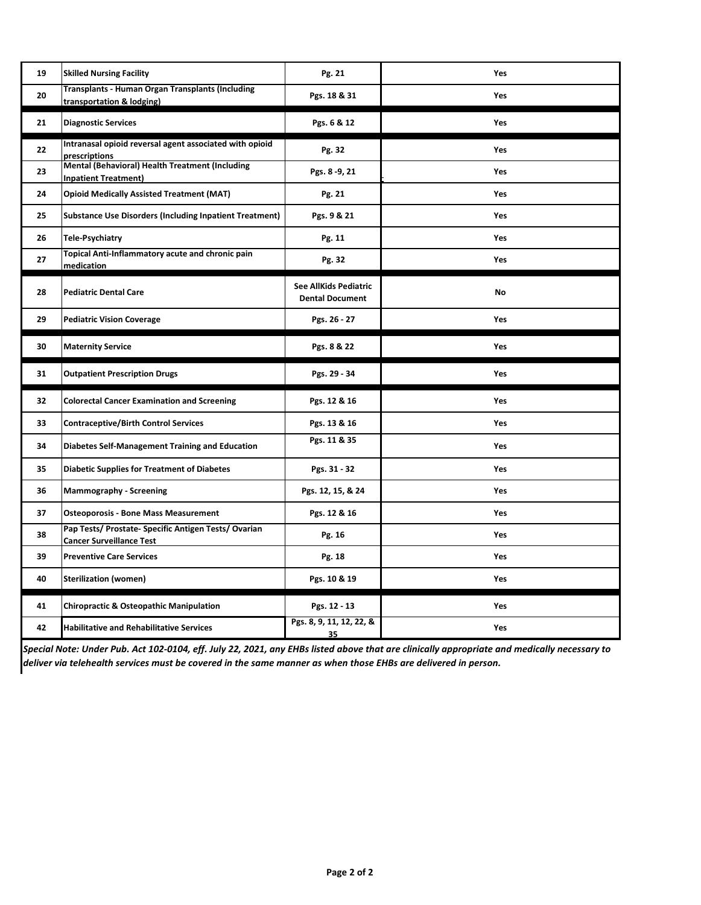| 19 | <b>Skilled Nursing Facility</b>                                                         | Pg. 21                                          | Yes |
|----|-----------------------------------------------------------------------------------------|-------------------------------------------------|-----|
| 20 | <b>Transplants - Human Organ Transplants (Including</b><br>transportation & lodging)    | Pgs. 18 & 31                                    | Yes |
| 21 | <b>Diagnostic Services</b>                                                              | Pgs. 6 & 12                                     | Yes |
| 22 | Intranasal opioid reversal agent associated with opioid<br>prescriptions                | Pg. 32                                          | Yes |
| 23 | Mental (Behavioral) Health Treatment (Including<br><b>Inpatient Treatment)</b>          | Pgs. 8 - 9, 21                                  | Yes |
| 24 | <b>Opioid Medically Assisted Treatment (MAT)</b>                                        | Pg. 21                                          | Yes |
| 25 | <b>Substance Use Disorders (Including Inpatient Treatment)</b>                          | Pgs. 9 & 21                                     | Yes |
| 26 | <b>Tele-Psychiatry</b>                                                                  | Pg. 11                                          | Yes |
| 27 | Topical Anti-Inflammatory acute and chronic pain<br>medication                          | Pg. 32                                          | Yes |
| 28 | <b>Pediatric Dental Care</b>                                                            | See AllKids Pediatric<br><b>Dental Document</b> | No  |
| 29 | <b>Pediatric Vision Coverage</b>                                                        | Pgs. 26 - 27                                    | Yes |
| 30 | <b>Maternity Service</b>                                                                | Pgs. 8 & 22                                     | Yes |
|    |                                                                                         |                                                 |     |
| 31 | <b>Outpatient Prescription Drugs</b>                                                    | Pgs. 29 - 34                                    | Yes |
| 32 | <b>Colorectal Cancer Examination and Screening</b>                                      | Pgs. 12 & 16                                    | Yes |
| 33 | <b>Contraceptive/Birth Control Services</b>                                             | Pgs. 13 & 16                                    | Yes |
| 34 | <b>Diabetes Self-Management Training and Education</b>                                  | Pgs. 11 & 35                                    | Yes |
| 35 | <b>Diabetic Supplies for Treatment of Diabetes</b>                                      | Pgs. 31 - 32                                    | Yes |
| 36 | <b>Mammography - Screening</b>                                                          | Pgs. 12, 15, & 24                               | Yes |
| 37 | <b>Osteoporosis - Bone Mass Measurement</b>                                             | Pgs. 12 & 16                                    | Yes |
| 38 | Pap Tests/ Prostate- Specific Antigen Tests/ Ovarian<br><b>Cancer Surveillance Test</b> | Pg. 16                                          | Yes |
| 39 | <b>Preventive Care Services</b>                                                         | Pg. 18                                          | Yes |
| 40 | <b>Sterilization (women)</b>                                                            | Pgs. 10 & 19                                    | Yes |
| 41 | <b>Chiropractic &amp; Osteopathic Manipulation</b>                                      | Pgs. 12 - 13                                    | Yes |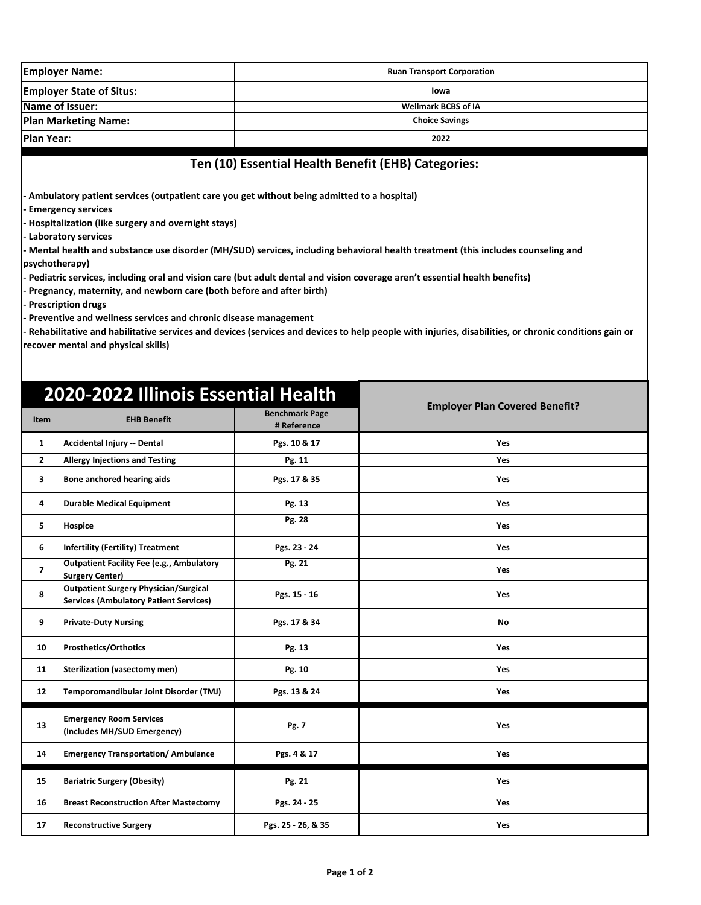|                                 | <b>Employer Name:</b>                                                                                                                                                                                                                                                                                                                                                                                                                                                                                                                                                                                                                                                                                                                                                                                                                                                                                                            | <b>Ruan Transport Corporation</b>    |                                       |  |  |
|---------------------------------|----------------------------------------------------------------------------------------------------------------------------------------------------------------------------------------------------------------------------------------------------------------------------------------------------------------------------------------------------------------------------------------------------------------------------------------------------------------------------------------------------------------------------------------------------------------------------------------------------------------------------------------------------------------------------------------------------------------------------------------------------------------------------------------------------------------------------------------------------------------------------------------------------------------------------------|--------------------------------------|---------------------------------------|--|--|
| <b>Employer State of Situs:</b> |                                                                                                                                                                                                                                                                                                                                                                                                                                                                                                                                                                                                                                                                                                                                                                                                                                                                                                                                  |                                      | lowa                                  |  |  |
| Name of Issuer:                 |                                                                                                                                                                                                                                                                                                                                                                                                                                                                                                                                                                                                                                                                                                                                                                                                                                                                                                                                  |                                      | <b>Wellmark BCBS of IA</b>            |  |  |
| <b>Plan Marketing Name:</b>     |                                                                                                                                                                                                                                                                                                                                                                                                                                                                                                                                                                                                                                                                                                                                                                                                                                                                                                                                  |                                      | <b>Choice Savings</b>                 |  |  |
|                                 | Plan Year:<br>2022                                                                                                                                                                                                                                                                                                                                                                                                                                                                                                                                                                                                                                                                                                                                                                                                                                                                                                               |                                      |                                       |  |  |
|                                 | Ten (10) Essential Health Benefit (EHB) Categories:<br>- Ambulatory patient services (outpatient care you get without being admitted to a hospital)<br><b>Emergency services</b><br>- Hospitalization (like surgery and overnight stays)<br>- Laboratory services<br>- Mental health and substance use disorder (MH/SUD) services, including behavioral health treatment (this includes counseling and<br>psychotherapy)<br>- Pediatric services, including oral and vision care (but adult dental and vision coverage aren't essential health benefits)<br>- Pregnancy, maternity, and newborn care (both before and after birth)<br>- Prescription drugs<br>- Preventive and wellness services and chronic disease management<br>- Rehabilitative and habilitative services and devices (services and devices to help people with injuries, disabilities, or chronic conditions gain or<br>recover mental and physical skills) |                                      |                                       |  |  |
| Item                            | 2020-2022 Illinois Essential Health<br><b>EHB Benefit</b>                                                                                                                                                                                                                                                                                                                                                                                                                                                                                                                                                                                                                                                                                                                                                                                                                                                                        | <b>Benchmark Page</b><br># Reference | <b>Employer Plan Covered Benefit?</b> |  |  |
| 1                               | Accidental Injury -- Dental                                                                                                                                                                                                                                                                                                                                                                                                                                                                                                                                                                                                                                                                                                                                                                                                                                                                                                      | Pgs. 10 & 17                         | <b>Yes</b>                            |  |  |
| $\overline{2}$                  | <b>Allergy Injections and Testing</b>                                                                                                                                                                                                                                                                                                                                                                                                                                                                                                                                                                                                                                                                                                                                                                                                                                                                                            | Pg. 11                               | Yes                                   |  |  |
| 3                               | Bone anchored hearing aids                                                                                                                                                                                                                                                                                                                                                                                                                                                                                                                                                                                                                                                                                                                                                                                                                                                                                                       | Pgs. 17 & 35                         | Yes                                   |  |  |
| 4                               | <b>Durable Medical Equipment</b>                                                                                                                                                                                                                                                                                                                                                                                                                                                                                                                                                                                                                                                                                                                                                                                                                                                                                                 | Pg. 13                               | Yes                                   |  |  |
| 5                               | Hospice                                                                                                                                                                                                                                                                                                                                                                                                                                                                                                                                                                                                                                                                                                                                                                                                                                                                                                                          | Pg. 28                               | Yes                                   |  |  |
| 6                               | <b>Infertility (Fertility) Treatment</b>                                                                                                                                                                                                                                                                                                                                                                                                                                                                                                                                                                                                                                                                                                                                                                                                                                                                                         | Pgs. 23 - 24                         | Yes                                   |  |  |
| $\overline{\phantom{a}}$        | <b>Outpatient Facility Fee (e.g., Ambulatory</b><br><b>Surgery Center)</b>                                                                                                                                                                                                                                                                                                                                                                                                                                                                                                                                                                                                                                                                                                                                                                                                                                                       | Pg. 21                               | Yes                                   |  |  |
| 8                               | <b>Outpatient Surgery Physician/Surgical</b><br><b>Services (Ambulatory Patient Services)</b>                                                                                                                                                                                                                                                                                                                                                                                                                                                                                                                                                                                                                                                                                                                                                                                                                                    | Pgs. 15 - 16                         | Yes                                   |  |  |
| 9                               | <b>Private-Duty Nursing</b>                                                                                                                                                                                                                                                                                                                                                                                                                                                                                                                                                                                                                                                                                                                                                                                                                                                                                                      | Pgs. 17 & 34                         | No                                    |  |  |
| 10                              | <b>Prosthetics/Orthotics</b>                                                                                                                                                                                                                                                                                                                                                                                                                                                                                                                                                                                                                                                                                                                                                                                                                                                                                                     | Pg. 13                               | Yes                                   |  |  |
| 11                              | <b>Sterilization (vasectomy men)</b>                                                                                                                                                                                                                                                                                                                                                                                                                                                                                                                                                                                                                                                                                                                                                                                                                                                                                             | Pg. 10                               | Yes                                   |  |  |
| 12                              | Temporomandibular Joint Disorder (TMJ)                                                                                                                                                                                                                                                                                                                                                                                                                                                                                                                                                                                                                                                                                                                                                                                                                                                                                           | Pgs. 13 & 24                         | Yes                                   |  |  |
| 13                              | <b>Emergency Room Services</b><br>(Includes MH/SUD Emergency)                                                                                                                                                                                                                                                                                                                                                                                                                                                                                                                                                                                                                                                                                                                                                                                                                                                                    | Pg. 7                                | Yes                                   |  |  |
| 14                              | <b>Emergency Transportation/ Ambulance</b>                                                                                                                                                                                                                                                                                                                                                                                                                                                                                                                                                                                                                                                                                                                                                                                                                                                                                       | Pgs. 4 & 17                          | Yes                                   |  |  |

15 Bariatric Surgery (Obesity) **Pg. 21** Pg. 21 **16 Breast Reconstruction After Mastectomy Pgs. 24 - 25 Yes** 17 Reconstructive Surgery **Pgs. 25 - 26, & 35** Yes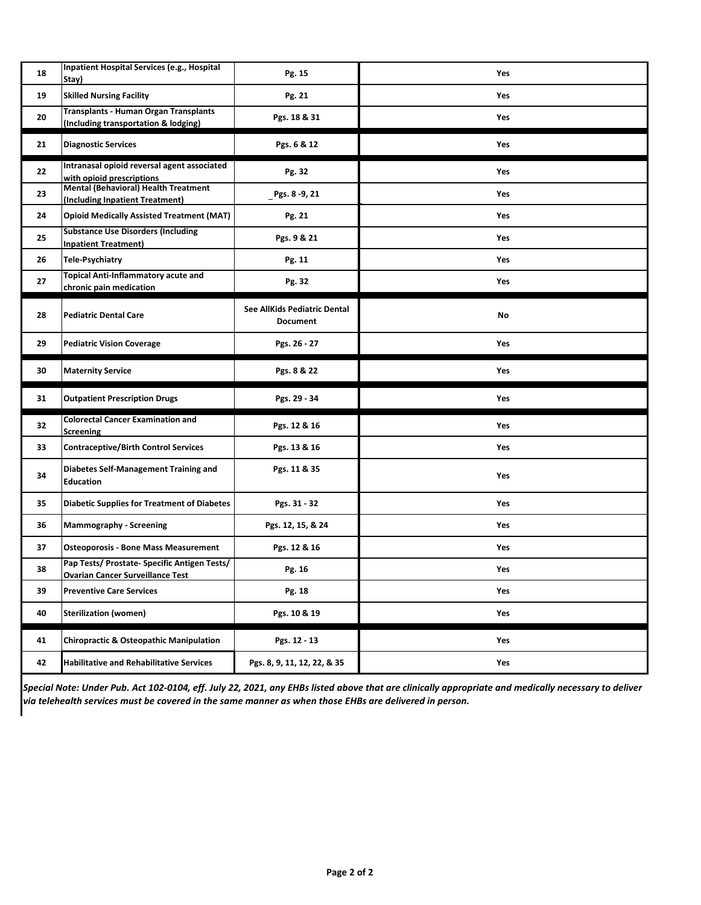| 18 | Inpatient Hospital Services (e.g., Hospital<br>Stay)                                    | Pg. 15                                          | Yes        |
|----|-----------------------------------------------------------------------------------------|-------------------------------------------------|------------|
| 19 | <b>Skilled Nursing Facility</b>                                                         | Pg. 21                                          | <b>Yes</b> |
| 20 | Transplants - Human Organ Transplants<br>(Including transportation & lodging)           | Pgs. 18 & 31                                    | Yes        |
| 21 | <b>Diagnostic Services</b>                                                              | Pgs. 6 & 12                                     | Yes        |
| 22 | Intranasal opioid reversal agent associated<br>with opioid prescriptions                | Pg. 32                                          | Yes        |
| 23 | <b>Mental (Behavioral) Health Treatment</b><br>(Including Inpatient Treatment)          | Pgs. 8-9, 21                                    | Yes        |
| 24 | <b>Opioid Medically Assisted Treatment (MAT)</b>                                        | Pg. 21                                          | Yes        |
| 25 | <b>Substance Use Disorders (Including</b><br><b>Inpatient Treatment)</b>                | Pgs. 9 & 21                                     | Yes        |
| 26 | <b>Tele-Psychiatry</b>                                                                  | Pg. 11                                          | Yes        |
| 27 | <b>Topical Anti-Inflammatory acute and</b><br>chronic pain medication                   | Pg. 32                                          | Yes        |
| 28 | <b>Pediatric Dental Care</b>                                                            | See AllKids Pediatric Dental<br><b>Document</b> | No         |
| 29 | <b>Pediatric Vision Coverage</b>                                                        | Pgs. 26 - 27                                    | Yes        |
|    |                                                                                         |                                                 |            |
| 30 | <b>Maternity Service</b>                                                                | Pgs. 8 & 22                                     | Yes        |
| 31 | <b>Outpatient Prescription Drugs</b>                                                    | Pgs. 29 - 34                                    | Yes        |
| 32 | <b>Colorectal Cancer Examination and</b><br>Screening                                   | Pgs. 12 & 16                                    | Yes        |
| 33 | <b>Contraceptive/Birth Control Services</b>                                             | Pgs. 13 & 16                                    | Yes        |
| 34 | Diabetes Self-Management Training and<br><b>Education</b>                               | Pgs. 11 & 35                                    | Yes        |
| 35 | Diabetic Supplies for Treatment of Diabetes                                             | Pgs. 31 - 32                                    | Yes        |
| 36 | Mammography - Screening                                                                 | Pgs. 12, 15, & 24                               | Yes        |
| 37 | <b>Osteoporosis - Bone Mass Measurement</b>                                             | Pgs. 12 & 16                                    | Yes        |
| 38 | Pap Tests/ Prostate- Specific Antigen Tests/<br><b>Ovarian Cancer Surveillance Test</b> | Pg. 16                                          | Yes        |
| 39 | <b>Preventive Care Services</b>                                                         | Pg. 18                                          | Yes        |
| 40 | <b>Sterilization (women)</b>                                                            | Pgs. 10 & 19                                    | Yes        |
| 41 | Chiropractic & Osteopathic Manipulation                                                 | Pgs. 12 - 13                                    | Yes        |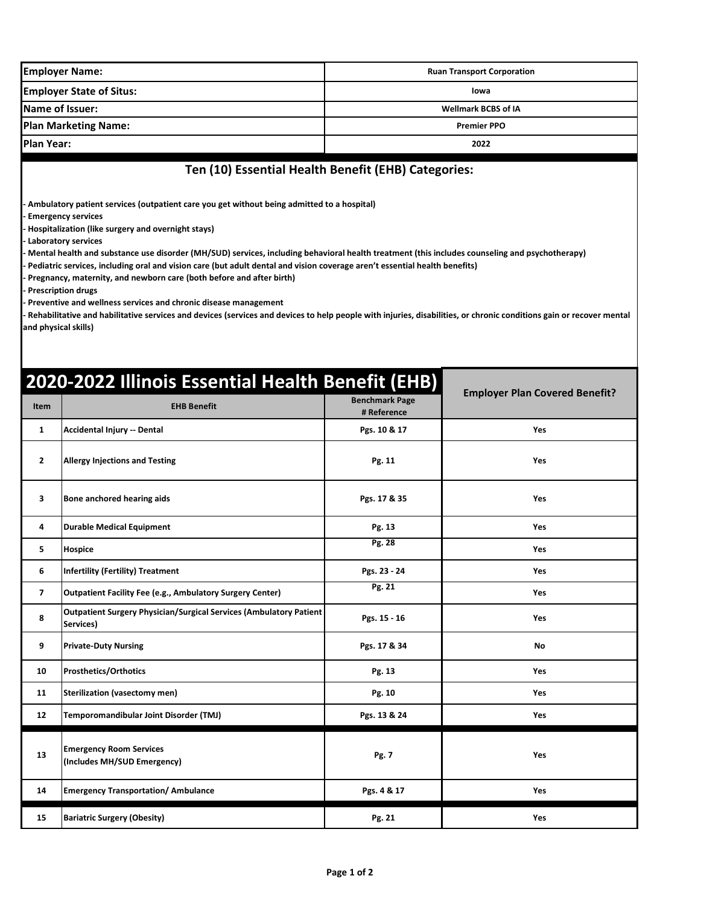|                                 | <b>Employer Name:</b>                                                                                                                                                                                                                                                                                                                                                                                                                                                                                                                                                                                                                                                                                                                                                                                                                                              |                                                     | <b>Ruan Transport Corporation</b>     |  |
|---------------------------------|--------------------------------------------------------------------------------------------------------------------------------------------------------------------------------------------------------------------------------------------------------------------------------------------------------------------------------------------------------------------------------------------------------------------------------------------------------------------------------------------------------------------------------------------------------------------------------------------------------------------------------------------------------------------------------------------------------------------------------------------------------------------------------------------------------------------------------------------------------------------|-----------------------------------------------------|---------------------------------------|--|
| <b>Employer State of Situs:</b> |                                                                                                                                                                                                                                                                                                                                                                                                                                                                                                                                                                                                                                                                                                                                                                                                                                                                    |                                                     | lowa                                  |  |
| Name of Issuer:                 |                                                                                                                                                                                                                                                                                                                                                                                                                                                                                                                                                                                                                                                                                                                                                                                                                                                                    |                                                     | <b>Wellmark BCBS of IA</b>            |  |
| <b>Plan Marketing Name:</b>     |                                                                                                                                                                                                                                                                                                                                                                                                                                                                                                                                                                                                                                                                                                                                                                                                                                                                    |                                                     | <b>Premier PPO</b>                    |  |
| <b>Plan Year:</b>               |                                                                                                                                                                                                                                                                                                                                                                                                                                                                                                                                                                                                                                                                                                                                                                                                                                                                    |                                                     | 2022                                  |  |
|                                 |                                                                                                                                                                                                                                                                                                                                                                                                                                                                                                                                                                                                                                                                                                                                                                                                                                                                    | Ten (10) Essential Health Benefit (EHB) Categories: |                                       |  |
|                                 | Ambulatory patient services (outpatient care you get without being admitted to a hospital)<br><b>Emergency services</b><br>Hospitalization (like surgery and overnight stays)<br><b>Laboratory services</b><br>Mental health and substance use disorder (MH/SUD) services, including behavioral health treatment (this includes counseling and psychotherapy)<br>Pediatric services, including oral and vision care (but adult dental and vision coverage aren't essential health benefits)<br>Pregnancy, maternity, and newborn care (both before and after birth)<br><b>Prescription drugs</b><br>Preventive and wellness services and chronic disease management<br>Rehabilitative and habilitative services and devices (services and devices to help people with injuries, disabilities, or chronic conditions gain or recover mental<br>and physical skills) |                                                     |                                       |  |
| <b>Item</b>                     | 2020-2022 Illinois Essential Health Benefit (EHB)<br><b>EHB Benefit</b>                                                                                                                                                                                                                                                                                                                                                                                                                                                                                                                                                                                                                                                                                                                                                                                            | <b>Benchmark Page</b><br># Reference                | <b>Employer Plan Covered Benefit?</b> |  |
| $\mathbf{1}$                    | Accidental Injury -- Dental                                                                                                                                                                                                                                                                                                                                                                                                                                                                                                                                                                                                                                                                                                                                                                                                                                        | Pgs. 10 & 17                                        | Yes                                   |  |
| $\overline{2}$                  | <b>Allergy Injections and Testing</b>                                                                                                                                                                                                                                                                                                                                                                                                                                                                                                                                                                                                                                                                                                                                                                                                                              | Pg. 11                                              | Yes                                   |  |
| 3.                              | IBone anchored hearing aids                                                                                                                                                                                                                                                                                                                                                                                                                                                                                                                                                                                                                                                                                                                                                                                                                                        | Pos. 17 & 35                                        | Yes                                   |  |

| 3              | Bone anchored hearing aids                                                      | Pgs. 17 & 35 | Yes |
|----------------|---------------------------------------------------------------------------------|--------------|-----|
| 4              | <b>Durable Medical Equipment</b>                                                | Pg. 13       | Yes |
| 5              | <b>Hospice</b>                                                                  | Pg. 28       | Yes |
| 6              | <b>Infertility (Fertility) Treatment</b>                                        | Pgs. 23 - 24 | Yes |
| $\overline{7}$ | <b>Outpatient Facility Fee (e.g., Ambulatory Surgery Center)</b>                | Pg. 21       | Yes |
| 8              | Outpatient Surgery Physician/Surgical Services (Ambulatory Patient<br>Services) | Pgs. 15 - 16 | Yes |
| 9              | <b>Private-Duty Nursing</b>                                                     | Pgs. 17 & 34 | No  |
| 10             | <b>Prosthetics/Orthotics</b>                                                    | Pg. 13       | Yes |
| 11             | <b>Sterilization (vasectomy men)</b>                                            | Pg. 10       | Yes |
| 12             | Temporomandibular Joint Disorder (TMJ)                                          | Pgs. 13 & 24 | Yes |
| 13             | <b>Emergency Room Services</b><br>(Includes MH/SUD Emergency)                   | Pg. 7        | Yes |
| 14             | <b>Emergency Transportation/ Ambulance</b>                                      | Pgs. 4 & 17  | Yes |
| 15             | <b>Bariatric Surgery (Obesity)</b>                                              | Pg. 21       | Yes |